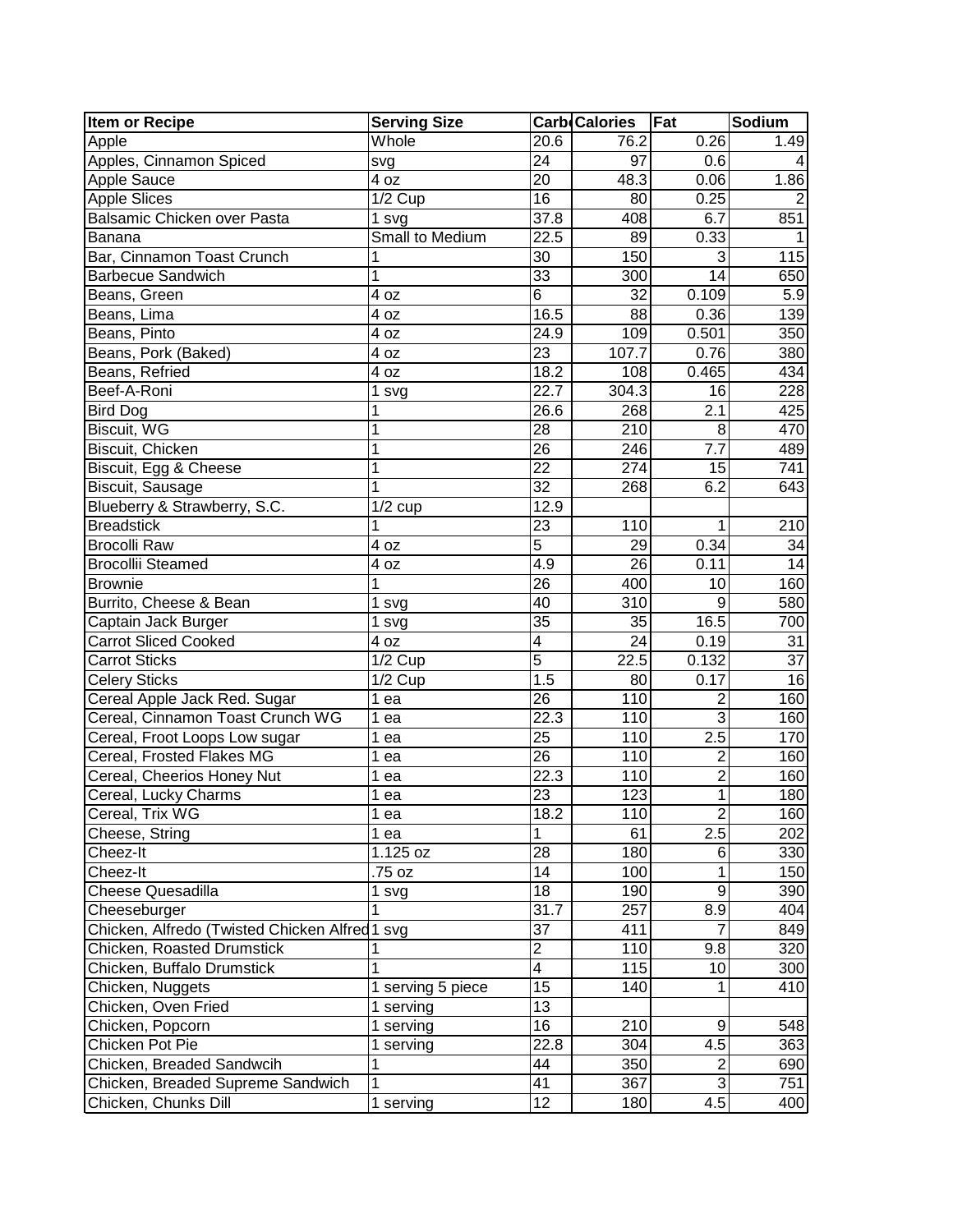| <b>Item or Recipe</b>                          | <b>Serving Size</b> |                         | <b>Carb</b> Calories | Fat            | Sodium |
|------------------------------------------------|---------------------|-------------------------|----------------------|----------------|--------|
| Apple                                          | Whole               | 20.6                    | 76.2                 | 0.26           | 1.49   |
| Apples, Cinnamon Spiced                        | svg                 | 24                      | 97                   | 0.6            |        |
| Apple Sauce                                    | 4 oz                | 20                      | 48.3                 | 0.06           | 1.86   |
| <b>Apple Slices</b>                            | $1/2$ Cup           | 16                      | 80                   | 0.25           |        |
| Balsamic Chicken over Pasta                    | 1 svg               | 37.8                    | 408                  | 6.7            | 851    |
| Banana                                         | Small to Medium     | 22.5                    | 89                   | 0.33           |        |
| Bar, Cinnamon Toast Crunch                     |                     | 30                      | 150                  | 3              | 115    |
| <b>Barbecue Sandwich</b>                       | 1                   | $\overline{33}$         | 300                  | 14             | 650    |
| Beans, Green                                   | 4 oz                | 6                       | 32                   | 0.109          | 5.9    |
| Beans, Lima                                    | 4 oz                | 16.5                    | 88                   | 0.36           | 139    |
| Beans, Pinto                                   | 4 oz                | $\overline{24.9}$       | 109                  | 0.501          | 350    |
| Beans, Pork (Baked)                            | 4 oz                | $\overline{23}$         | 107.7                | 0.76           | 380    |
| Beans, Refried                                 | 4 oz                | 18.2                    | 108                  | 0.465          | 434    |
| Beef-A-Roni                                    | 1 svg               | 22.7                    | 304.3                | 16             | 228    |
| <b>Bird Dog</b>                                | 1                   | 26.6                    | 268                  | 2.1            | 425    |
| Biscuit, WG                                    | 1                   | $\overline{28}$         | 210                  | 8              | 470    |
| Biscuit, Chicken                               | 1                   | $\overline{26}$         | 246                  | 7.7            | 489    |
| Biscuit, Egg & Cheese                          | 1                   | $\overline{22}$         | 274                  | 15             | 741    |
| Biscuit, Sausage                               | 1                   | 32                      | 268                  | 6.2            | 643    |
| Blueberry & Strawberry, S.C.                   | $1/2$ cup           | 12.9                    |                      |                |        |
| <b>Breadstick</b>                              | 1                   | 23                      | 110                  | 1              | 210    |
| <b>Brocolli Raw</b>                            | 4 oz                | $\overline{5}$          | 29                   | 0.34           | 34     |
| <b>Brocollii Steamed</b>                       | 4 oz                | 4.9                     | 26                   | 0.11           | 14     |
| <b>Brownie</b>                                 | 1                   | 26                      | 400                  | 10             | 160    |
| Burrito, Cheese & Bean                         | 1 svg               | 40                      | 310                  | 9              | 580    |
| Captain Jack Burger                            | 1 svg               | 35                      | 35                   | 16.5           | 700    |
| <b>Carrot Sliced Cooked</b>                    | 4 oz                | $\overline{\mathbf{4}}$ | 24                   | 0.19           | 31     |
| <b>Carrot Sticks</b>                           | $1/2$ Cup           | 5                       | 22.5                 | 0.132          | 37     |
| <b>Celery Sticks</b>                           | $1/2$ Cup           | 1.5                     | 80                   | 0.17           | 16     |
| Cereal Apple Jack Red. Sugar                   | 1 ea                | 26                      | 110                  | $\overline{2}$ | 160    |
| Cereal, Cinnamon Toast Crunch WG               | 1 ea                | 22.3                    | 110                  | 3              | 160    |
| Cereal, Froot Loops Low sugar                  | 1 ea                | 25                      | 110                  | 2.5            | 170    |
| Cereal, Frosted Flakes MG                      | 1 ea                | $\overline{26}$         | 110                  |                | 160    |
| Cereal, Cheerios Honey Nut                     | 1<br>ea             | 22.3                    | 110                  | $\overline{c}$ | 160    |
| Cereal, Lucky Charms                           | 1 ea                | 23                      | 123                  | $\mathbf 1$    | 180    |
| Cereal, Trix WG                                | ea                  | 18.2                    | 110                  | $\mathbf{2}$   | 160    |
| Cheese, String                                 | 1 ea                | 1                       | 61                   | 2.5            | 202    |
| Cheez-It                                       | 1.125 oz            | 28                      | 180                  | 6              | 330    |
| Cheez-It                                       | .75 oz              | 14                      | 100                  | 1              | 150    |
| <b>Cheese Quesadilla</b>                       | 1 svg               | 18                      | 190                  | 9              | 390    |
| Cheeseburger                                   | 1                   | 31.7                    | 257                  | 8.9            | 404    |
| Chicken, Alfredo (Twisted Chicken Alfred 1 svg |                     | 37                      | 411                  |                | 849    |
| Chicken, Roasted Drumstick                     |                     | $\overline{c}$          | 110                  | 9.8            | 320    |
| Chicken, Buffalo Drumstick                     |                     | 4                       | 115                  | 10             | 300    |
| Chicken, Nuggets                               | 1 serving 5 piece   | 15                      | 140                  |                | 410    |
| Chicken, Oven Fried                            | 1 serving           | 13                      |                      |                |        |
| Chicken, Popcorn                               | 1 serving           | 16                      | 210                  | 9              | 548    |
| Chicken Pot Pie                                | 1 serving           | 22.8                    | 304                  | 4.5            | 363    |
| Chicken, Breaded Sandwcih                      |                     | 44                      | 350                  | $\overline{2}$ | 690    |
| Chicken, Breaded Supreme Sandwich              | 1                   | 41                      | 367                  | 3              | 751    |
| Chicken, Chunks Dill                           | 1 serving           | 12                      | 180                  | 4.5            | 400    |
|                                                |                     |                         |                      |                |        |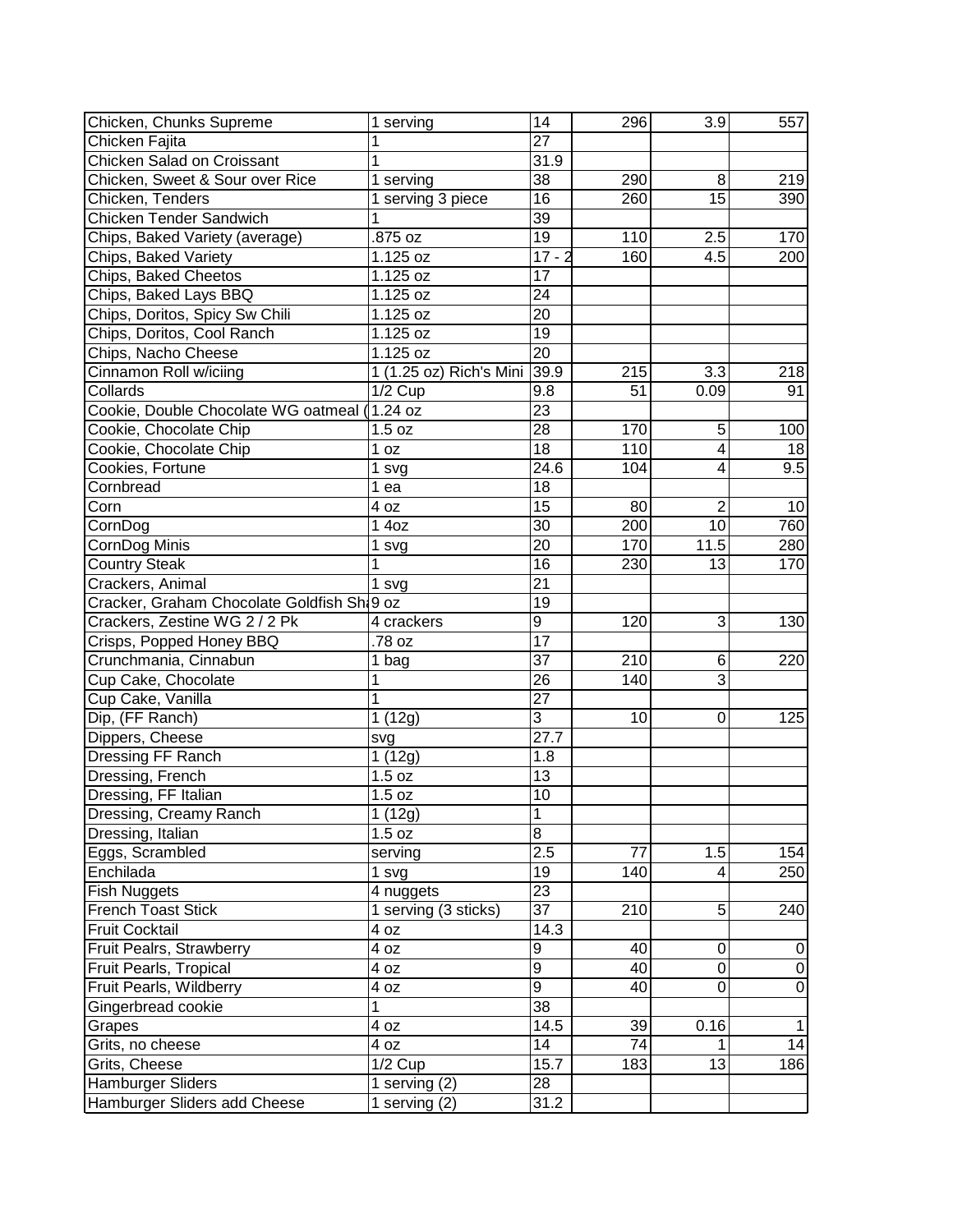| Chicken, Chunks Supreme                     | 1 serving                  | 14              | 296              | 3.9             | 557         |
|---------------------------------------------|----------------------------|-----------------|------------------|-----------------|-------------|
| Chicken Fajita                              |                            | 27              |                  |                 |             |
| Chicken Salad on Croissant                  | 1                          | 31.9            |                  |                 |             |
| Chicken, Sweet & Sour over Rice             | 1 serving                  | 38              | 290              | 8               | 219         |
| Chicken, Tenders                            | 1 serving 3 piece          | 16              | 260              | 15              | 390         |
| Chicken Tender Sandwich                     |                            | 39              |                  |                 |             |
| Chips, Baked Variety (average)              | .875 oz                    | $\overline{19}$ | 110              | 2.5             | 170         |
| Chips, Baked Variety                        | 1.125 oz                   | $17 - 2$        | 160              | 4.5             | 200         |
| Chips, Baked Cheetos                        | 1.125 oz                   | 17              |                  |                 |             |
| Chips, Baked Lays BBQ                       | 1.125 oz                   | 24              |                  |                 |             |
| Chips, Doritos, Spicy Sw Chili              | 1.125 oz                   | 20              |                  |                 |             |
| Chips, Doritos, Cool Ranch                  | 1.125 oz                   | 19              |                  |                 |             |
| Chips, Nacho Cheese                         | 1.125 oz                   | 20              |                  |                 |             |
| Cinnamon Roll w/iciing                      | 1 (1.25 oz) Rich's Mini    | 39.9            | 215              | 3.3             | 218         |
| Collards                                    | $1/2$ Cup                  | 9.8             | 51               | 0.09            | 91          |
| Cookie, Double Chocolate WG oatmeal (       | 1.24 oz                    | $\overline{23}$ |                  |                 |             |
| Cookie, Chocolate Chip                      | 1.5 oz                     | $\overline{28}$ | 170              | 5               | 100         |
| Cookie, Chocolate Chip                      | 1 oz                       | $\overline{18}$ | 110              | 4               | 18          |
| Cookies, Fortune                            | 1 svg                      | 24.6            | 104              | 4               | 9.5         |
| Cornbread                                   | 1 ea                       | 18              |                  |                 |             |
| Corn                                        | 4 oz                       | 15              | 80               | $\overline{2}$  | 10          |
| CornDog                                     | 140z                       | 30              | 200              | 10              | 760         |
| CornDog Minis                               | 1 svg                      | 20              | 170              | 11.5            | 280         |
| <b>Country Steak</b>                        | 1                          | 16              | 230              | 13              | 170         |
| Crackers, Animal                            | 1 svg                      | $\overline{21}$ |                  |                 |             |
| Cracker, Graham Chocolate Goldfish Shi 9 oz |                            | 19              |                  |                 |             |
| Crackers, Zestine WG 2 / 2 Pk               | 4 crackers                 | $\overline{9}$  | 120              | 3               | 130         |
| Crisps, Popped Honey BBQ                    | .78 oz                     | 17              |                  |                 |             |
| Crunchmania, Cinnabun                       | 1 bag                      | 37              | 210              | 6               | 220         |
| Cup Cake, Chocolate                         | 1                          | 26              | 140              | 3               |             |
| Cup Cake, Vanilla                           | 1                          | 27              |                  |                 |             |
| Dip, (FF Ranch)                             | 1(12g)                     | $\overline{3}$  | 10               | 0               | 125         |
| Dippers, Cheese                             | svg                        | 27.7            |                  |                 |             |
| Dressing FF Ranch                           | 1(12g)                     | 1.8             |                  |                 |             |
| Dressing, French                            | 1.5 oz                     | 13              |                  |                 |             |
| Dressing, FF Italian                        | 1.5 oz                     | 10              |                  |                 |             |
|                                             | $\overline{1(12g)}$        |                 |                  |                 |             |
| Dressing, Creamy Ranch                      | 1.5 oz                     | 1<br>8          |                  |                 |             |
| Dressing, Italian<br>Eggs, Scrambled        |                            | 2.5             | 77               | 1.5             | 154         |
|                                             | serving                    | 19              | 140              |                 | 250         |
| Enchilada                                   | 1 svg                      | 23              |                  | 4               |             |
| <b>Fish Nuggets</b>                         | 4 nuggets                  | $\overline{37}$ |                  | 5               |             |
| <b>French Toast Stick</b>                   | 1 serving (3 sticks)       |                 | 210              |                 | 240         |
| <b>Fruit Cocktail</b>                       | 4 oz                       | 14.3            |                  |                 |             |
| Fruit Pealrs, Strawberry                    | 4 oz                       | 9               | 40               | 0               | 0           |
| Fruit Pearls, Tropical                      | 4 oz                       | $\overline{9}$  | 40               | $\overline{0}$  | $\mathbf 0$ |
| Fruit Pearls, Wildberry                     | 4 oz                       | $\overline{9}$  | 40               | 0               | $\mathbf 0$ |
| Gingerbread cookie                          | 1                          | 38              |                  |                 |             |
| Grapes                                      | 4 oz                       | 14.5            | 39               | 0.16            | 1           |
| Grits, no cheese                            | 4 oz                       | 14              | 74               |                 | 14          |
| Grits, Cheese                               | $1/2$ Cup                  | 15.7            | $\overline{183}$ | $\overline{13}$ | 186         |
| <b>Hamburger Sliders</b>                    | 1 serving $(2)$            | $\overline{28}$ |                  |                 |             |
| Hamburger Sliders add Cheese                | $\overline{1}$ serving (2) | 31.2            |                  |                 |             |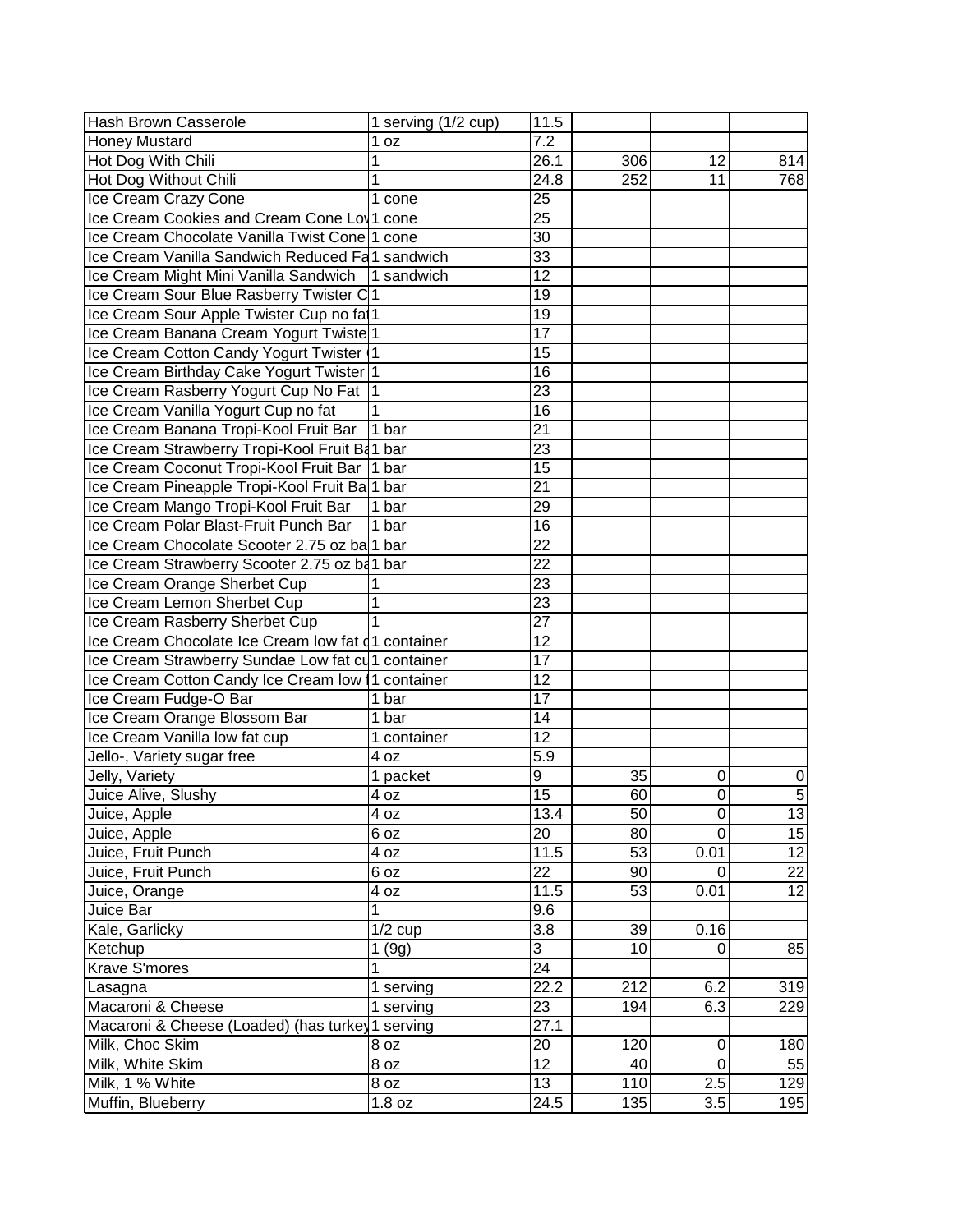| Hash Brown Casserole                               | 1 serving (1/2 cup) | 11.5              |     |          |             |
|----------------------------------------------------|---------------------|-------------------|-----|----------|-------------|
| <b>Honey Mustard</b>                               | 1 oz                | 7.2               |     |          |             |
| Hot Dog With Chili                                 | 1                   | 26.1              | 306 | 12       | 814         |
| Hot Dog Without Chili                              | 1                   | 24.8              | 252 | 11       | 768         |
| Ice Cream Crazy Cone                               | 1 cone              | 25                |     |          |             |
| Ice Cream Cookies and Cream Cone Lov1 cone         |                     | 25                |     |          |             |
| Ice Cream Chocolate Vanilla Twist Cone 1 cone      |                     | 30                |     |          |             |
| Ice Cream Vanilla Sandwich Reduced Fa1 sandwich    |                     | 33                |     |          |             |
| Ice Cream Might Mini Vanilla Sandwich   1 sandwich |                     | 12                |     |          |             |
| Ice Cream Sour Blue Rasberry Twister C 1           |                     | 19                |     |          |             |
| Ice Cream Sour Apple Twister Cup no fa  1          |                     | 19                |     |          |             |
| Ice Cream Banana Cream Yogurt Twiste 1             |                     | 17                |     |          |             |
| Ice Cream Cotton Candy Yogurt Twister   1          |                     | 15                |     |          |             |
| Ice Cream Birthday Cake Yogurt Twister 1           |                     | 16                |     |          |             |
| Ice Cream Rasberry Yogurt Cup No Fat               | $\vert$ 1           | 23                |     |          |             |
| Ice Cream Vanilla Yogurt Cup no fat                |                     | 16                |     |          |             |
| Ice Cream Banana Tropi-Kool Fruit Bar              | 1 bar               | 21                |     |          |             |
| Ice Cream Strawberry Tropi-Kool Fruit Ba1 bar      |                     | 23                |     |          |             |
| Ice Cream Coconut Tropi-Kool Fruit Bar   1 bar     |                     | 15                |     |          |             |
| Ice Cream Pineapple Tropi-Kool Fruit Ba 1 bar      |                     | 21                |     |          |             |
| Ice Cream Mango Tropi-Kool Fruit Bar               | 1 bar               | 29                |     |          |             |
| Ice Cream Polar Blast-Fruit Punch Bar              | 1 bar               | 16                |     |          |             |
| Ice Cream Chocolate Scooter 2.75 oz ba 1 bar       |                     | 22                |     |          |             |
| Ice Cream Strawberry Scooter 2.75 oz ba1 bar       |                     | 22                |     |          |             |
| Ice Cream Orange Sherbet Cup                       |                     | 23                |     |          |             |
| Ice Cream Lemon Sherbet Cup                        | 1                   | 23                |     |          |             |
| Ice Cream Rasberry Sherbet Cup                     | 1                   | 27                |     |          |             |
| Ice Cream Chocolate Ice Cream Iow fat d1 container |                     | 12                |     |          |             |
| Ice Cream Strawberry Sundae Low fat cu 1 container |                     | 17                |     |          |             |
| Ice Cream Cotton Candy Ice Cream Iow 11 container  |                     | 12                |     |          |             |
| Ice Cream Fudge-O Bar                              | 1 bar               | 17                |     |          |             |
| Ice Cream Orange Blossom Bar                       | 1 bar               | 14                |     |          |             |
| Ice Cream Vanilla low fat cup                      | 1 container         | 12                |     |          |             |
| Jello-, Variety sugar free                         | 4 oz                | 5.9               |     |          |             |
| Jelly, Variety                                     | 1 packet            | 9                 | 35  | 0        | 0           |
| Juice Alive, Slushy                                | 4 oz                | 15                | 60  | 0        | $\mathbf 5$ |
| Juice, Apple                                       | 4 oz                | 13.4              | 50  | 0        | 13          |
| Juice, Apple                                       | 6 oz                | 20                | 80  | 0        | 15          |
| Juice, Fruit Punch                                 | 4 oz                | 11.5              | 53  | 0.01     | 12          |
| Juice, Fruit Punch                                 | 6 oz                | 22                | 90  | $\Omega$ | 22          |
| Juice, Orange                                      | 4 oz                | 11.5              | 53  | 0.01     | 12          |
| Juice Bar                                          | 1                   | 9.6               |     |          |             |
| Kale, Garlicky                                     | $1/2$ cup           | 3.8               | 39  | 0.16     |             |
| Ketchup                                            | 1(9g)               | 3                 | 10  | 0        | 85          |
| <b>Krave S'mores</b>                               | 1                   | 24                |     |          |             |
| Lasagna                                            | 1 serving           | $\overline{22.2}$ | 212 | 6.2      | 319         |
| Macaroni & Cheese                                  | 1 serving           | 23                | 194 | 6.3      | 229         |
| Macaroni & Cheese (Loaded) (has turkey 1           | serving             | 27.1              |     |          |             |
| Milk, Choc Skim                                    | 8 oz                | 20                | 120 | 0        | 180         |
| Milk, White Skim                                   | 8 oz                | 12                | 40  | 0        | 55          |
| Milk, 1 % White                                    | 8 oz                | 13                | 110 | 2.5      | 129         |
| Muffin, Blueberry                                  | 1.8 oz              | 24.5              | 135 | 3.5      | 195         |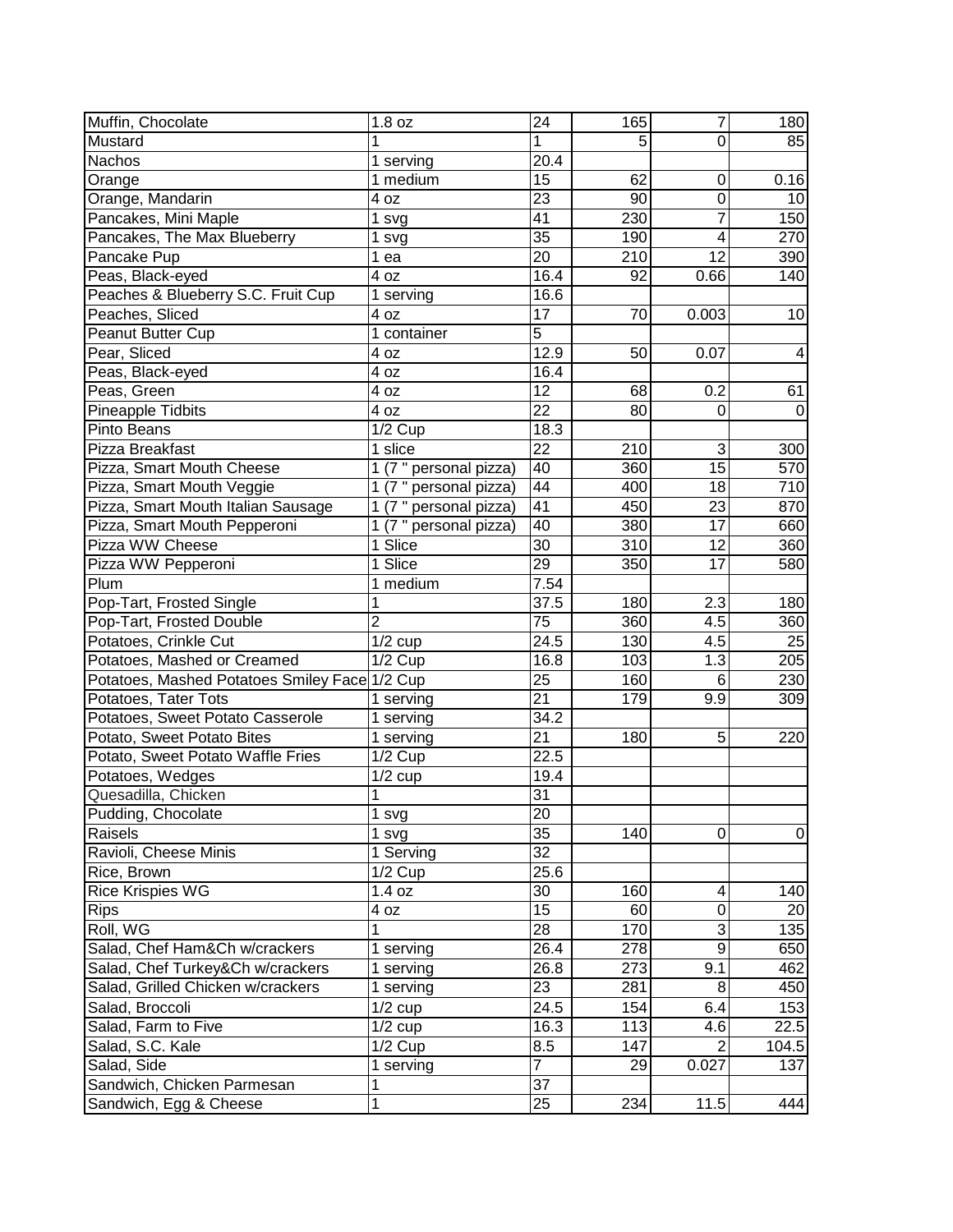| Muffin, Chocolate                             | 1.8 oz                 | 24              | 165 | $\overline{7}$  | 180                     |
|-----------------------------------------------|------------------------|-----------------|-----|-----------------|-------------------------|
| Mustard                                       |                        | 1               |     | $\overline{0}$  | 85                      |
| <b>Nachos</b>                                 | 1 serving              | 20.4            |     |                 |                         |
| Orange                                        | 1 medium               | 15              | 62  | $\mathbf 0$     | 0.16                    |
| Orange, Mandarin                              | 4 oz                   | 23              | 90  | 0               | 10                      |
| Pancakes, Mini Maple                          | 1 svg                  | 41              | 230 | 7               | 150                     |
| Pancakes, The Max Blueberry                   | 1 svg                  | 35              | 190 | 4               | 270                     |
| Pancake Pup                                   | 1 ea                   | $\overline{20}$ | 210 | 12              | 390                     |
| Peas, Black-eyed                              | 4 oz                   | 16.4            | 92  | 0.66            | 140                     |
| Peaches & Blueberry S.C. Fruit Cup            | 1 serving              | 16.6            |     |                 |                         |
| Peaches, Sliced                               | 4 oz                   | 17              | 70  | 0.003           | 10                      |
| Peanut Butter Cup                             | 1 container            | 5               |     |                 |                         |
| Pear, Sliced                                  | 4 oz                   | 12.9            | 50  | 0.07            | $\overline{\mathbf{4}}$ |
| Peas, Black-eyed                              | 4 oz                   | 16.4            |     |                 |                         |
| Peas, Green                                   | 4 oz                   | $\overline{12}$ | 68  | 0.2             | 61                      |
| Pineapple Tidbits                             | 4 oz                   | $\overline{22}$ | 80  | $\Omega$        | $\pmb{0}$               |
| Pinto Beans                                   | $1/2$ Cup              | 18.3            |     |                 |                         |
| Pizza Breakfast                               | 1 slice                | $\overline{22}$ | 210 | 3               | 300                     |
| Pizza, Smart Mouth Cheese                     | 1 (7 " personal pizza) | 40              | 360 | $\overline{15}$ | 570                     |
| Pizza, Smart Mouth Veggie                     | 1 (7 " personal pizza) | 44              | 400 | 18              | 710                     |
| Pizza, Smart Mouth Italian Sausage            | 1 (7 " personal pizza) | 41              | 450 | 23              | 870                     |
| Pizza, Smart Mouth Pepperoni                  | 1 (7 " personal pizza) | 40              | 380 | 17              | 660                     |
| Pizza WW Cheese                               | 1 Slice                | $\overline{30}$ | 310 | 12              | 360                     |
| Pizza WW Pepperoni                            | 1 Slice                | 29              | 350 | 17              | 580                     |
| Plum                                          | 1 medium               | 7.54            |     |                 |                         |
| Pop-Tart, Frosted Single                      | 1                      | 37.5            | 180 | 2.3             | 180                     |
| Pop-Tart, Frosted Double                      | $\overline{2}$         | 75              | 360 | 4.5             | 360                     |
| Potatoes, Crinkle Cut                         | $1/2$ cup              | 24.5            | 130 | 4.5             | 25                      |
| Potatoes, Mashed or Creamed                   | $1/2$ Cup              | 16.8            | 103 | 1.3             | 205                     |
| Potatoes, Mashed Potatoes Smiley Face 1/2 Cup |                        | 25              | 160 | 6               | 230                     |
| Potatoes, Tater Tots                          | 1 serving              | $\overline{21}$ | 179 | 9.9             | 309                     |
| Potatoes, Sweet Potato Casserole              | 1 serving              | 34.2            |     |                 |                         |
| Potato, Sweet Potato Bites                    | 1 serving              | $\overline{21}$ | 180 | 5               | 220                     |
| Potato, Sweet Potato Waffle Fries             | $1/2$ Cup              | 22.5            |     |                 |                         |
| Potatoes, Wedges                              | $1/2$ cup              | 19.4            |     |                 |                         |
| Quesadilla, Chicken                           | 1                      | 31              |     |                 |                         |
| Pudding, Chocolate                            |                        |                 |     |                 |                         |
| Raisels                                       | 1 svg<br>1 svg         | 20<br>35        | 140 | $\Omega$        | $\pmb{0}$               |
| Ravioli, Cheese Minis                         | 1 Serving              | 32              |     |                 |                         |
| Rice, Brown                                   | $1/2$ Cup              | 25.6            |     |                 |                         |
| Rice Krispies WG                              | 1.4 oz                 | 30              | 160 | 4               | 140                     |
| <b>Rips</b>                                   | 4 oz                   | 15              | 60  | $\pmb{0}$       | 20                      |
| Roll, WG                                      | 1                      | 28              | 170 | 3               | 135                     |
| Salad, Chef Ham&Ch w/crackers                 |                        | 26.4            | 278 | 9               |                         |
|                                               | 1 serving              |                 |     |                 | 650                     |
| Salad, Chef Turkey&Ch w/crackers              | 1 serving              | 26.8            | 273 | 9.1             | 462                     |
| Salad, Grilled Chicken w/crackers             | 1 serving              | 23              | 281 | 8               | 450                     |
| Salad, Broccoli                               | $1/2$ cup              | 24.5            | 154 | 6.4             | 153                     |
| Salad, Farm to Five                           | $1/2$ cup              | 16.3            | 113 | 4.6             | 22.5                    |
| Salad, S.C. Kale                              | $1/2$ Cup              | 8.5             | 147 | $\overline{2}$  | 104.5                   |
| Salad, Side                                   | 1 serving              | 7               | 29  | 0.027           | 137                     |
| Sandwich, Chicken Parmesan                    | 1                      | 37              |     |                 |                         |
| Sandwich, Egg & Cheese                        | 1                      | 25              | 234 | 11.5            | 444                     |